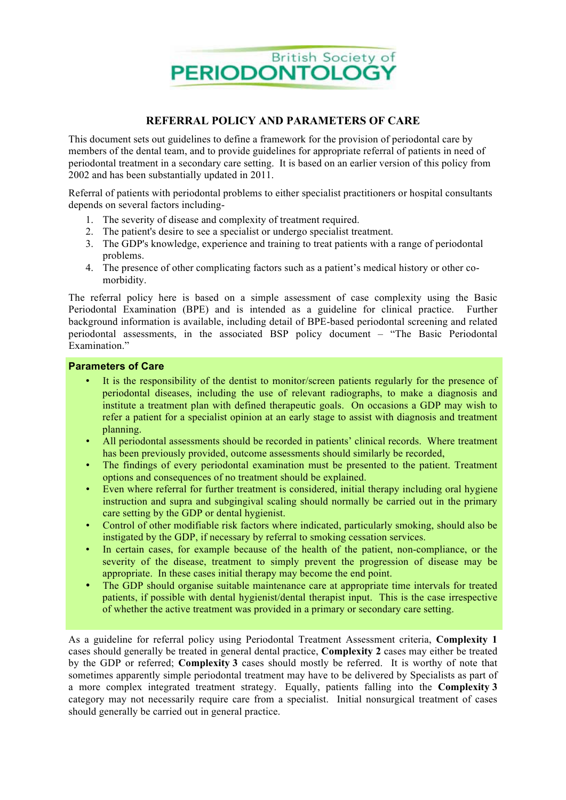

## **REFERRAL POLICY AND PARAMETERS OF CARE**

This document sets out guidelines to define a framework for the provision of periodontal care by members of the dental team, and to provide guidelines for appropriate referral of patients in need of periodontal treatment in a secondary care setting. It is based on an earlier version of this policy from 2002 and has been substantially updated in 2011.

Referral of patients with periodontal problems to either specialist practitioners or hospital consultants depends on several factors including-

- 1. The severity of disease and complexity of treatment required.
- 2. The patient's desire to see a specialist or undergo specialist treatment.
- 3. The GDP's knowledge, experience and training to treat patients with a range of periodontal problems.
- 4. The presence of other complicating factors such as a patient's medical history or other comorbidity.

The referral policy here is based on a simple assessment of case complexity using the Basic Periodontal Examination (BPE) and is intended as a guideline for clinical practice. Further background information is available, including detail of BPE-based periodontal screening and related periodontal assessments, in the associated BSP policy document – "The Basic Periodontal Examination."

## **Parameters of Care**

- It is the responsibility of the dentist to monitor/screen patients regularly for the presence of periodontal diseases, including the use of relevant radiographs, to make a diagnosis and institute a treatment plan with defined therapeutic goals. On occasions a GDP may wish to refer a patient for a specialist opinion at an early stage to assist with diagnosis and treatment planning.
- All periodontal assessments should be recorded in patients' clinical records. Where treatment has been previously provided, outcome assessments should similarly be recorded,
- The findings of every periodontal examination must be presented to the patient. Treatment options and consequences of no treatment should be explained.
- Even where referral for further treatment is considered, initial therapy including oral hygiene instruction and supra and subgingival scaling should normally be carried out in the primary care setting by the GDP or dental hygienist.
- Control of other modifiable risk factors where indicated, particularly smoking, should also be instigated by the GDP, if necessary by referral to smoking cessation services.
- In certain cases, for example because of the health of the patient, non-compliance, or the severity of the disease, treatment to simply prevent the progression of disease may be appropriate. In these cases initial therapy may become the end point.
- The GDP should organise suitable maintenance care at appropriate time intervals for treated patients, if possible with dental hygienist/dental therapist input. This is the case irrespective of whether the active treatment was provided in a primary or secondary care setting.

As a guideline for referral policy using Periodontal Treatment Assessment criteria, **Complexity 1** cases should generally be treated in general dental practice, **Complexity 2** cases may either be treated by the GDP or referred; **Complexity 3** cases should mostly be referred. It is worthy of note that sometimes apparently simple periodontal treatment may have to be delivered by Specialists as part of a more complex integrated treatment strategy. Equally, patients falling into the **Complexity 3** category may not necessarily require care from a specialist. Initial nonsurgical treatment of cases should generally be carried out in general practice.